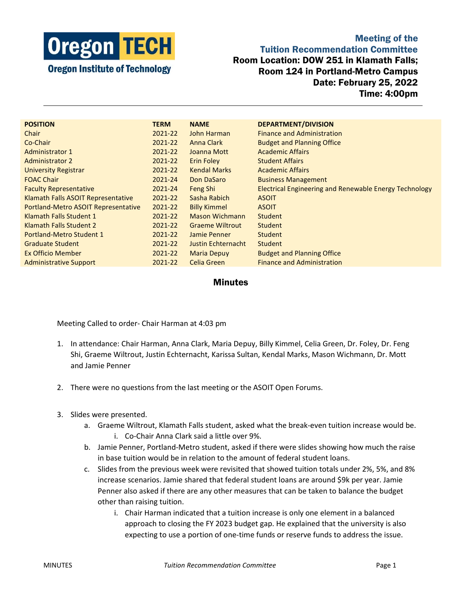

Meeting of the Tuition Recommendation Committee Room Location: DOW 251 in Klamath Falls; Room 124 in Portland-Metro Campus Date: February 25, 2022 Time: 4:00pm

| <b>POSITION</b>                     | <b>TERM</b> | <b>NAME</b>            | DEPARTMENT/DIVISION                                           |
|-------------------------------------|-------------|------------------------|---------------------------------------------------------------|
| Chair                               | 2021-22     | John Harman            | <b>Finance and Administration</b>                             |
| Co-Chair                            | 2021-22     | <b>Anna Clark</b>      | <b>Budget and Planning Office</b>                             |
| <b>Administrator 1</b>              | 2021-22     | Joanna Mott            | <b>Academic Affairs</b>                                       |
| <b>Administrator 2</b>              | 2021-22     | <b>Erin Foley</b>      | <b>Student Affairs</b>                                        |
| <b>University Registrar</b>         | 2021-22     | <b>Kendal Marks</b>    | <b>Academic Affairs</b>                                       |
| <b>FOAC Chair</b>                   | 2021-24     | Don DaSaro             | <b>Business Management</b>                                    |
| <b>Faculty Representative</b>       | 2021-24     | Feng Shi               | <b>Electrical Engineering and Renewable Energy Technology</b> |
| Klamath Falls ASOIT Representative  | 2021-22     | Sasha Rabich           | <b>ASOIT</b>                                                  |
| Portland-Metro ASOIT Representative | 2021-22     | <b>Billy Kimmel</b>    | <b>ASOIT</b>                                                  |
| Klamath Falls Student 1             | 2021-22     | Mason Wichmann         | Student                                                       |
| Klamath Falls Student 2             | 2021-22     | <b>Graeme Wiltrout</b> | <b>Student</b>                                                |
| Portland-Metro Student 1            | 2021-22     | Jamie Penner           | <b>Student</b>                                                |
| <b>Graduate Student</b>             | 2021-22     | Justin Echternacht     | Student                                                       |
| <b>Ex Officio Member</b>            | 2021-22     | <b>Maria Depuy</b>     | <b>Budget and Planning Office</b>                             |
| <b>Administrative Support</b>       | 2021-22     | Celia Green            | <b>Finance and Administration</b>                             |

## **Minutes**

Meeting Called to order- Chair Harman at 4:03 pm

- 1. In attendance: Chair Harman, Anna Clark, Maria Depuy, Billy Kimmel, Celia Green, Dr. Foley, Dr. Feng Shi, Graeme Wiltrout, Justin Echternacht, Karissa Sultan, Kendal Marks, Mason Wichmann, Dr. Mott and Jamie Penner
- 2. There were no questions from the last meeting or the ASOIT Open Forums.
- 3. Slides were presented.
	- a. Graeme Wiltrout, Klamath Falls student, asked what the break-even tuition increase would be. i. Co-Chair Anna Clark said a little over 9%.
	- b. Jamie Penner, Portland-Metro student, asked if there were slides showing how much the raise in base tuition would be in relation to the amount of federal student loans.
	- c. Slides from the previous week were revisited that showed tuition totals under 2%, 5%, and 8% increase scenarios. Jamie shared that federal student loans are around \$9k per year. Jamie Penner also asked if there are any other measures that can be taken to balance the budget other than raising tuition.
		- i. Chair Harman indicated that a tuition increase is only one element in a balanced approach to closing the FY 2023 budget gap. He explained that the university is also expecting to use a portion of one-time funds or reserve funds to address the issue.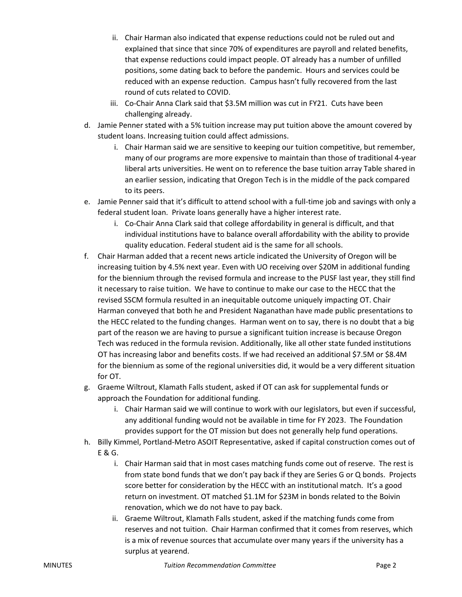- ii. Chair Harman also indicated that expense reductions could not be ruled out and explained that since that since 70% of expenditures are payroll and related benefits, that expense reductions could impact people. OT already has a number of unfilled positions, some dating back to before the pandemic. Hours and services could be reduced with an expense reduction. Campus hasn't fully recovered from the last round of cuts related to COVID.
- iii. Co-Chair Anna Clark said that \$3.5M million was cut in FY21. Cuts have been challenging already.
- d. Jamie Penner stated with a 5% tuition increase may put tuition above the amount covered by student loans. Increasing tuition could affect admissions.
	- i. Chair Harman said we are sensitive to keeping our tuition competitive, but remember, many of our programs are more expensive to maintain than those of traditional 4-year liberal arts universities. He went on to reference the base tuition array Table shared in an earlier session, indicating that Oregon Tech is in the middle of the pack compared to its peers.
- e. Jamie Penner said that it's difficult to attend school with a full-time job and savings with only a federal student loan. Private loans generally have a higher interest rate.
	- i. Co-Chair Anna Clark said that college affordability in general is difficult, and that individual institutions have to balance overall affordability with the ability to provide quality education. Federal student aid is the same for all schools.
- f. Chair Harman added that a recent news article indicated the University of Oregon will be increasing tuition by 4.5% next year. Even with UO receiving over \$20M in additional funding for the biennium through the revised formula and increase to the PUSF last year, they still find it necessary to raise tuition. We have to continue to make our case to the HECC that the revised SSCM formula resulted in an inequitable outcome uniquely impacting OT. Chair Harman conveyed that both he and President Naganathan have made public presentations to the HECC related to the funding changes. Harman went on to say, there is no doubt that a big part of the reason we are having to pursue a significant tuition increase is because Oregon Tech was reduced in the formula revision. Additionally, like all other state funded institutions OT has increasing labor and benefits costs. If we had received an additional \$7.5M or \$8.4M for the biennium as some of the regional universities did, it would be a very different situation for OT.
- g. Graeme Wiltrout, Klamath Falls student, asked if OT can ask for supplemental funds or approach the Foundation for additional funding.
	- i. Chair Harman said we will continue to work with our legislators, but even if successful, any additional funding would not be available in time for FY 2023. The Foundation provides support for the OT mission but does not generally help fund operations.
- h. Billy Kimmel, Portland-Metro ASOIT Representative, asked if capital construction comes out of E & G.
	- i. Chair Harman said that in most cases matching funds come out of reserve. The rest is from state bond funds that we don't pay back if they are Series G or Q bonds. Projects score better for consideration by the HECC with an institutional match. It's a good return on investment. OT matched \$1.1M for \$23M in bonds related to the Boivin renovation, which we do not have to pay back.
	- ii. Graeme Wiltrout, Klamath Falls student, asked if the matching funds come from reserves and not tuition. Chair Harman confirmed that it comes from reserves, which is a mix of revenue sources that accumulate over many years if the university has a surplus at yearend.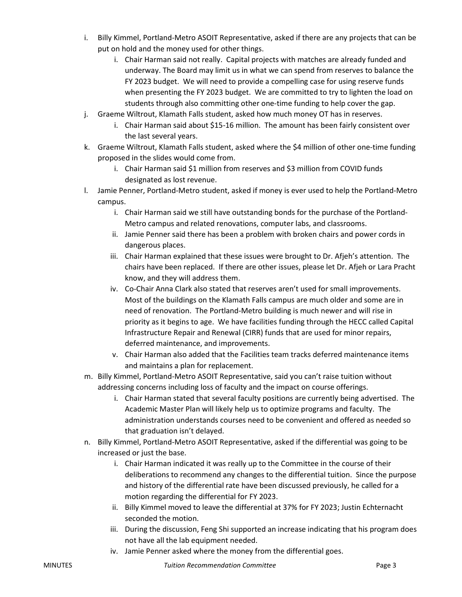- i. Billy Kimmel, Portland-Metro ASOIT Representative, asked if there are any projects that can be put on hold and the money used for other things.
	- i. Chair Harman said not really. Capital projects with matches are already funded and underway. The Board may limit us in what we can spend from reserves to balance the FY 2023 budget. We will need to provide a compelling case for using reserve funds when presenting the FY 2023 budget. We are committed to try to lighten the load on students through also committing other one-time funding to help cover the gap.
- j. Graeme Wiltrout, Klamath Falls student, asked how much money OT has in reserves.
	- i. Chair Harman said about \$15-16 million. The amount has been fairly consistent over the last several years.
- k. Graeme Wiltrout, Klamath Falls student, asked where the \$4 million of other one-time funding proposed in the slides would come from.
	- i. Chair Harman said \$1 million from reserves and \$3 million from COVID funds designated as lost revenue.
- l. Jamie Penner, Portland-Metro student, asked if money is ever used to help the Portland-Metro campus.
	- i. Chair Harman said we still have outstanding bonds for the purchase of the Portland-Metro campus and related renovations, computer labs, and classrooms.
	- ii. Jamie Penner said there has been a problem with broken chairs and power cords in dangerous places.
	- iii. Chair Harman explained that these issues were brought to Dr. Afjeh's attention. The chairs have been replaced. If there are other issues, please let Dr. Afjeh or Lara Pracht know, and they will address them.
	- iv. Co-Chair Anna Clark also stated that reserves aren't used for small improvements. Most of the buildings on the Klamath Falls campus are much older and some are in need of renovation. The Portland-Metro building is much newer and will rise in priority as it begins to age. We have facilities funding through the HECC called Capital Infrastructure Repair and Renewal (CIRR) funds that are used for minor repairs, deferred maintenance, and improvements.
	- v. Chair Harman also added that the Facilities team tracks deferred maintenance items and maintains a plan for replacement.
- m. Billy Kimmel, Portland-Metro ASOIT Representative, said you can't raise tuition without addressing concerns including loss of faculty and the impact on course offerings.
	- i. Chair Harman stated that several faculty positions are currently being advertised. The Academic Master Plan will likely help us to optimize programs and faculty. The administration understands courses need to be convenient and offered as needed so that graduation isn't delayed.
- n. Billy Kimmel, Portland-Metro ASOIT Representative, asked if the differential was going to be increased or just the base.
	- i. Chair Harman indicated it was really up to the Committee in the course of their deliberations to recommend any changes to the differential tuition. Since the purpose and history of the differential rate have been discussed previously, he called for a motion regarding the differential for FY 2023.
	- ii. Billy Kimmel moved to leave the differential at 37% for FY 2023; Justin Echternacht seconded the motion.
	- iii. During the discussion, Feng Shi supported an increase indicating that his program does not have all the lab equipment needed.
	- iv. Jamie Penner asked where the money from the differential goes.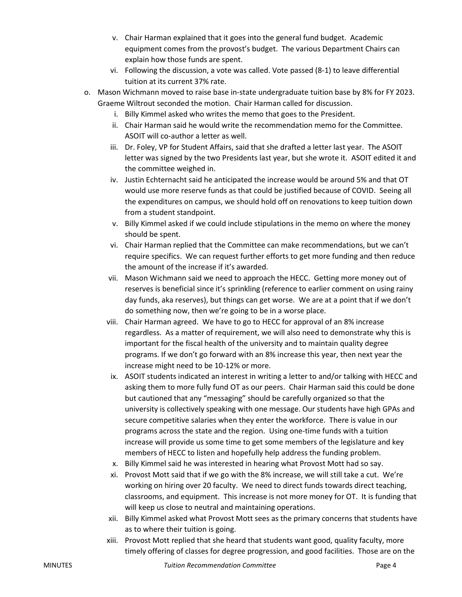- v. Chair Harman explained that it goes into the general fund budget. Academic equipment comes from the provost's budget. The various Department Chairs can explain how those funds are spent.
- vi. Following the discussion, a vote was called. Vote passed (8-1) to leave differential tuition at its current 37% rate.
- o. Mason Wichmann moved to raise base in-state undergraduate tuition base by 8% for FY 2023. Graeme Wiltrout seconded the motion. Chair Harman called for discussion.
	- i. Billy Kimmel asked who writes the memo that goes to the President.
	- ii. Chair Harman said he would write the recommendation memo for the Committee. ASOIT will co-author a letter as well.
	- iii. Dr. Foley, VP for Student Affairs, said that she drafted a letter last year. The ASOIT letter was signed by the two Presidents last year, but she wrote it. ASOIT edited it and the committee weighed in.
	- iv. Justin Echternacht said he anticipated the increase would be around 5% and that OT would use more reserve funds as that could be justified because of COVID. Seeing all the expenditures on campus, we should hold off on renovations to keep tuition down from a student standpoint.
	- v. Billy Kimmel asked if we could include stipulations in the memo on where the money should be spent.
	- vi. Chair Harman replied that the Committee can make recommendations, but we can't require specifics. We can request further efforts to get more funding and then reduce the amount of the increase if it's awarded.
	- vii. Mason Wichmann said we need to approach the HECC. Getting more money out of reserves is beneficial since it's sprinkling (reference to earlier comment on using rainy day funds, aka reserves), but things can get worse. We are at a point that if we don't do something now, then we're going to be in a worse place.
	- viii. Chair Harman agreed. We have to go to HECC for approval of an 8% increase regardless. As a matter of requirement, we will also need to demonstrate why this is important for the fiscal health of the university and to maintain quality degree programs. If we don't go forward with an 8% increase this year, then next year the increase might need to be 10-12% or more.
	- ix. ASOIT students indicated an interest in writing a letter to and/or talking with HECC and asking them to more fully fund OT as our peers. Chair Harman said this could be done but cautioned that any "messaging" should be carefully organized so that the university is collectively speaking with one message. Our students have high GPAs and secure competitive salaries when they enter the workforce. There is value in our programs across the state and the region. Using one-time funds with a tuition increase will provide us some time to get some members of the legislature and key members of HECC to listen and hopefully help address the funding problem.
	- x. Billy Kimmel said he was interested in hearing what Provost Mott had so say.
	- xi. Provost Mott said that if we go with the 8% increase, we will still take a cut. We're working on hiring over 20 faculty. We need to direct funds towards direct teaching, classrooms, and equipment. This increase is not more money for OT. It is funding that will keep us close to neutral and maintaining operations.
	- xii. Billy Kimmel asked what Provost Mott sees as the primary concerns that students have as to where their tuition is going.
	- xiii. Provost Mott replied that she heard that students want good, quality faculty, more timely offering of classes for degree progression, and good facilities. Those are on the